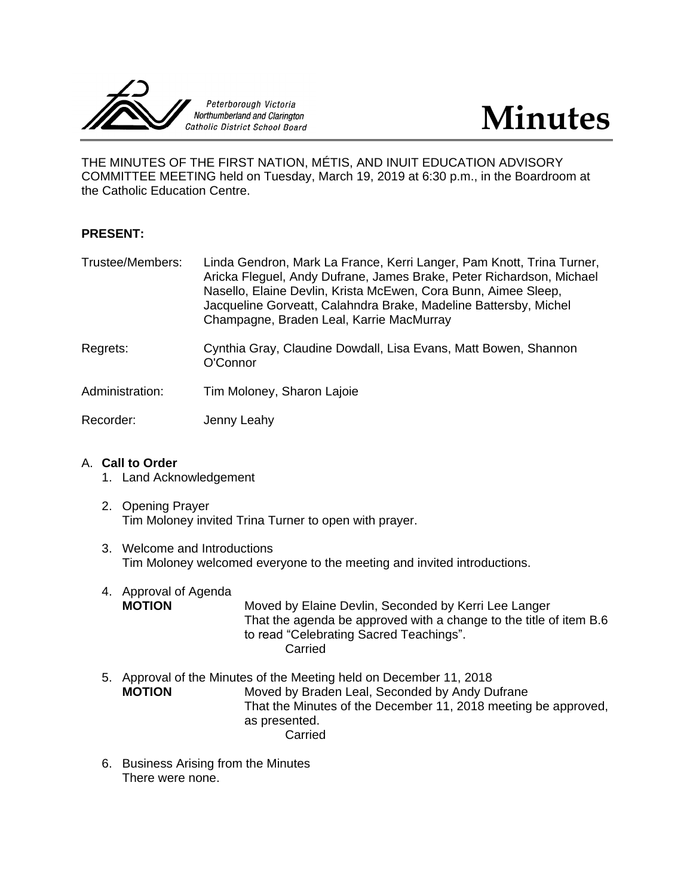



THE MINUTES OF THE FIRST NATION, MÉTIS, AND INUIT EDUCATION ADVISORY COMMITTEE MEETING held on Tuesday, March 19, 2019 at 6:30 p.m., in the Boardroom at the Catholic Education Centre.

## **PRESENT:**

- Trustee/Members: Linda Gendron, Mark La France, Kerri Langer, Pam Knott, Trina Turner, Aricka Fleguel, Andy Dufrane, James Brake, Peter Richardson, Michael Nasello, Elaine Devlin, Krista McEwen, Cora Bunn, Aimee Sleep, Jacqueline Gorveatt, Calahndra Brake, Madeline Battersby, Michel Champagne, Braden Leal, Karrie MacMurray
- Regrets: Cynthia Gray, Claudine Dowdall, Lisa Evans, Matt Bowen, Shannon O'Connor
- Administration: Tim Moloney, Sharon Lajoie

Recorder: Jenny Leahy

## A. **Call to Order**

- 1. Land Acknowledgement
- 2. Opening Prayer Tim Moloney invited Trina Turner to open with prayer.
- 3. Welcome and Introductions Tim Moloney welcomed everyone to the meeting and invited introductions.
- 4. Approval of Agenda<br> **MOTION** Moved by Elaine Devlin, Seconded by Kerri Lee Langer That the agenda be approved with a change to the title of item B.6 to read "Celebrating Sacred Teachings". Carried
- 5. Approval of the Minutes of the Meeting held on December 11, 2018 **MOTION** Moved by Braden Leal, Seconded by Andy Dufrane That the Minutes of the December 11, 2018 meeting be approved, as presented. Carried
- 6. Business Arising from the Minutes There were none.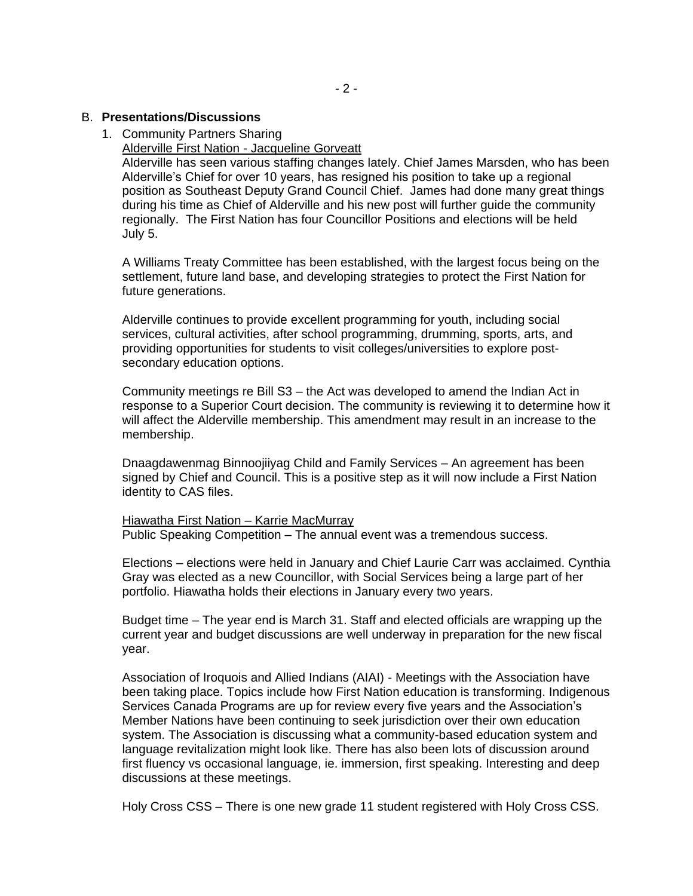## B. **Presentations/Discussions**

- 1. Community Partners Sharing
	- Alderville First Nation Jacqueline Gorveatt

Alderville has seen various staffing changes lately. Chief James Marsden, who has been Alderville's Chief for over 10 years, has resigned his position to take up a regional position as Southeast Deputy Grand Council Chief. James had done many great things during his time as Chief of Alderville and his new post will further guide the community regionally. The First Nation has four Councillor Positions and elections will be held July 5.

A Williams Treaty Committee has been established, with the largest focus being on the settlement, future land base, and developing strategies to protect the First Nation for future generations.

Alderville continues to provide excellent programming for youth, including social services, cultural activities, after school programming, drumming, sports, arts, and providing opportunities for students to visit colleges/universities to explore postsecondary education options.

Community meetings re Bill S3 – the Act was developed to amend the Indian Act in response to a Superior Court decision. The community is reviewing it to determine how it will affect the Alderville membership. This amendment may result in an increase to the membership.

Dnaagdawenmag Binnoojiiyag Child and Family Services – An agreement has been signed by Chief and Council. This is a positive step as it will now include a First Nation identity to CAS files.

# Hiawatha First Nation – Karrie MacMurray

Public Speaking Competition – The annual event was a tremendous success.

Elections – elections were held in January and Chief Laurie Carr was acclaimed. Cynthia Gray was elected as a new Councillor, with Social Services being a large part of her portfolio. Hiawatha holds their elections in January every two years.

Budget time – The year end is March 31. Staff and elected officials are wrapping up the current year and budget discussions are well underway in preparation for the new fiscal year.

Association of Iroquois and Allied Indians (AIAI) - Meetings with the Association have been taking place. Topics include how First Nation education is transforming. Indigenous Services Canada Programs are up for review every five years and the Association's Member Nations have been continuing to seek jurisdiction over their own education system. The Association is discussing what a community-based education system and language revitalization might look like. There has also been lots of discussion around first fluency vs occasional language, ie. immersion, first speaking. Interesting and deep discussions at these meetings.

Holy Cross CSS – There is one new grade 11 student registered with Holy Cross CSS.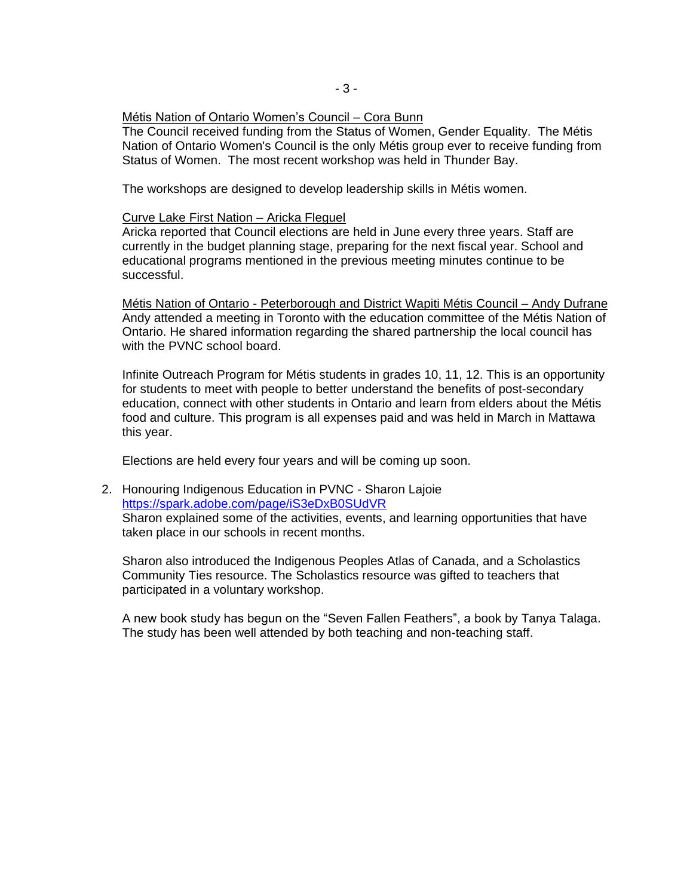## Métis Nation of Ontario Women's Council – Cora Bunn

The Council received funding from the Status of Women, Gender Equality. The Métis Nation of Ontario Women's Council is the only Métis group ever to receive funding from Status of Women. The most recent workshop was held in Thunder Bay.

The workshops are designed to develop leadership skills in Métis women.

#### Curve Lake First Nation – Aricka Fleguel

Aricka reported that Council elections are held in June every three years. Staff are currently in the budget planning stage, preparing for the next fiscal year. School and educational programs mentioned in the previous meeting minutes continue to be successful.

Métis Nation of Ontario - Peterborough and District Wapiti Métis Council – Andy Dufrane Andy attended a meeting in Toronto with the education committee of the Métis Nation of Ontario. He shared information regarding the shared partnership the local council has with the PVNC school board.

Infinite Outreach Program for Métis students in grades 10, 11, 12. This is an opportunity for students to meet with people to better understand the benefits of post-secondary education, connect with other students in Ontario and learn from elders about the Métis food and culture. This program is all expenses paid and was held in March in Mattawa this year.

Elections are held every four years and will be coming up soon.

2. Honouring Indigenous Education in PVNC - Sharon Lajoie [https://spark.adobe.com/page/iS3eDxB0SUdVR](https://spark.adobe.com/page/iS3eDxB0SUdVR-) Sharon explained some of the activities, events, and learning opportunities that have taken place in our schools in recent months.

Sharon also introduced the Indigenous Peoples Atlas of Canada, and a Scholastics Community Ties resource. The Scholastics resource was gifted to teachers that participated in a voluntary workshop.

A new book study has begun on the "Seven Fallen Feathers", a book by Tanya Talaga. The study has been well attended by both teaching and non-teaching staff.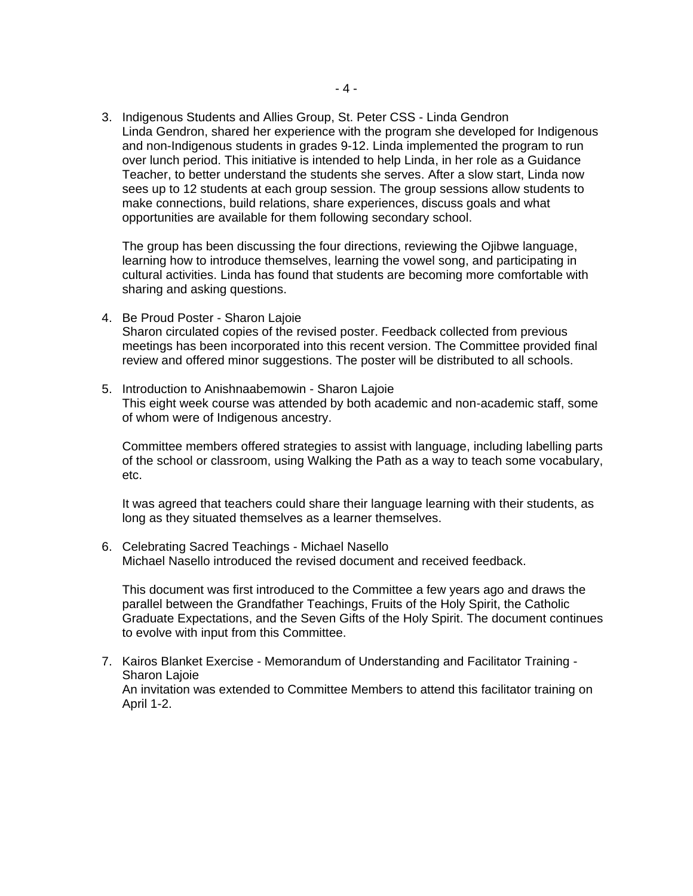3. Indigenous Students and Allies Group, St. Peter CSS - Linda Gendron Linda Gendron, shared her experience with the program she developed for Indigenous and non-Indigenous students in grades 9-12. Linda implemented the program to run over lunch period. This initiative is intended to help Linda, in her role as a Guidance Teacher, to better understand the students she serves. After a slow start, Linda now sees up to 12 students at each group session. The group sessions allow students to make connections, build relations, share experiences, discuss goals and what opportunities are available for them following secondary school.

The group has been discussing the four directions, reviewing the Ojibwe language, learning how to introduce themselves, learning the vowel song, and participating in cultural activities. Linda has found that students are becoming more comfortable with sharing and asking questions.

- 4. Be Proud Poster Sharon Lajoie Sharon circulated copies of the revised poster. Feedback collected from previous meetings has been incorporated into this recent version. The Committee provided final review and offered minor suggestions. The poster will be distributed to all schools.
- 5. Introduction to Anishnaabemowin Sharon Lajoie This eight week course was attended by both academic and non-academic staff, some of whom were of Indigenous ancestry.

Committee members offered strategies to assist with language, including labelling parts of the school or classroom, using Walking the Path as a way to teach some vocabulary, etc.

It was agreed that teachers could share their language learning with their students, as long as they situated themselves as a learner themselves.

6. Celebrating Sacred Teachings - Michael Nasello Michael Nasello introduced the revised document and received feedback.

This document was first introduced to the Committee a few years ago and draws the parallel between the Grandfather Teachings, Fruits of the Holy Spirit, the Catholic Graduate Expectations, and the Seven Gifts of the Holy Spirit. The document continues to evolve with input from this Committee.

7. Kairos Blanket Exercise - Memorandum of Understanding and Facilitator Training - Sharon Lajoie An invitation was extended to Committee Members to attend this facilitator training on April 1-2.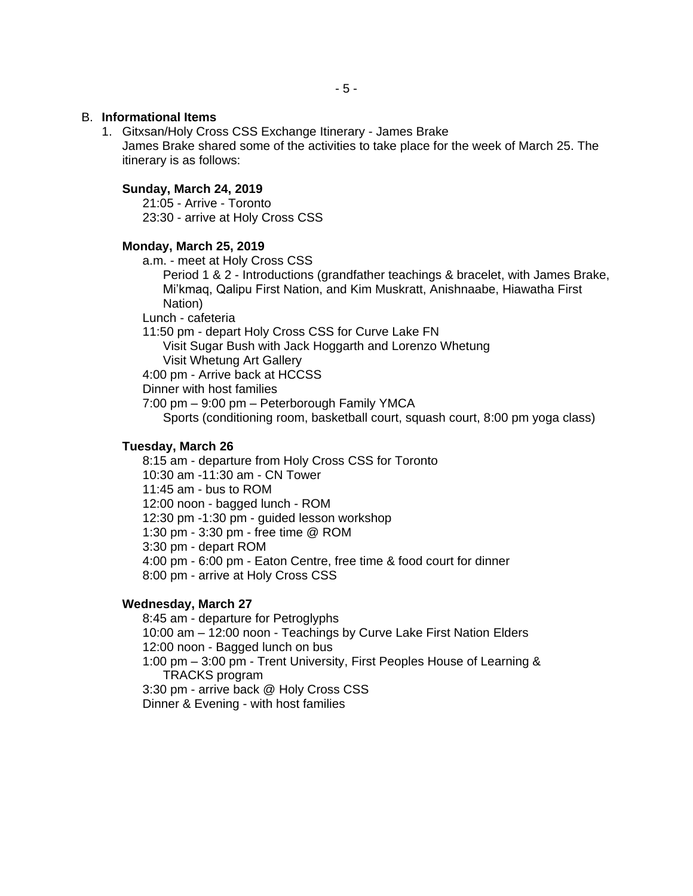#### B. **Informational Items**

1. Gitxsan/Holy Cross CSS Exchange Itinerary - James Brake James Brake shared some of the activities to take place for the week of March 25. The itinerary is as follows:

## **Sunday, March 24, 2019**

21:05 - Arrive - Toronto 23:30 - arrive at Holy Cross CSS

#### **Monday, March 25, 2019**

a.m. - meet at Holy Cross CSS

Period 1 & 2 - Introductions (grandfather teachings & bracelet, with James Brake, Mi'kmaq, Qalipu First Nation, and Kim Muskratt, Anishnaabe, Hiawatha First Nation)

Lunch - cafeteria

11:50 pm - depart Holy Cross CSS for Curve Lake FN

Visit Sugar Bush with Jack Hoggarth and Lorenzo Whetung Visit Whetung Art Gallery

4:00 pm - Arrive back at HCCSS

Dinner with host families

7:00 pm – 9:00 pm – Peterborough Family YMCA

Sports (conditioning room, basketball court, squash court, 8:00 pm yoga class)

#### **Tuesday, March 26**

8:15 am - departure from Holy Cross CSS for Toronto 10:30 am -11:30 am - CN Tower 11:45 am - bus to ROM 12:00 noon - bagged lunch - ROM 12:30 pm -1:30 pm - guided lesson workshop 1:30 pm - 3:30 pm - free time @ ROM 3:30 pm - depart ROM 4:00 pm - 6:00 pm - Eaton Centre, free time & food court for dinner 8:00 pm - arrive at Holy Cross CSS

## **Wednesday, March 27**

8:45 am - departure for Petroglyphs 10:00 am – 12:00 noon - Teachings by Curve Lake First Nation Elders 12:00 noon - Bagged lunch on bus 1:00 pm – 3:00 pm - Trent University, First Peoples House of Learning & TRACKS program 3:30 pm - arrive back @ Holy Cross CSS Dinner & Evening - with host families